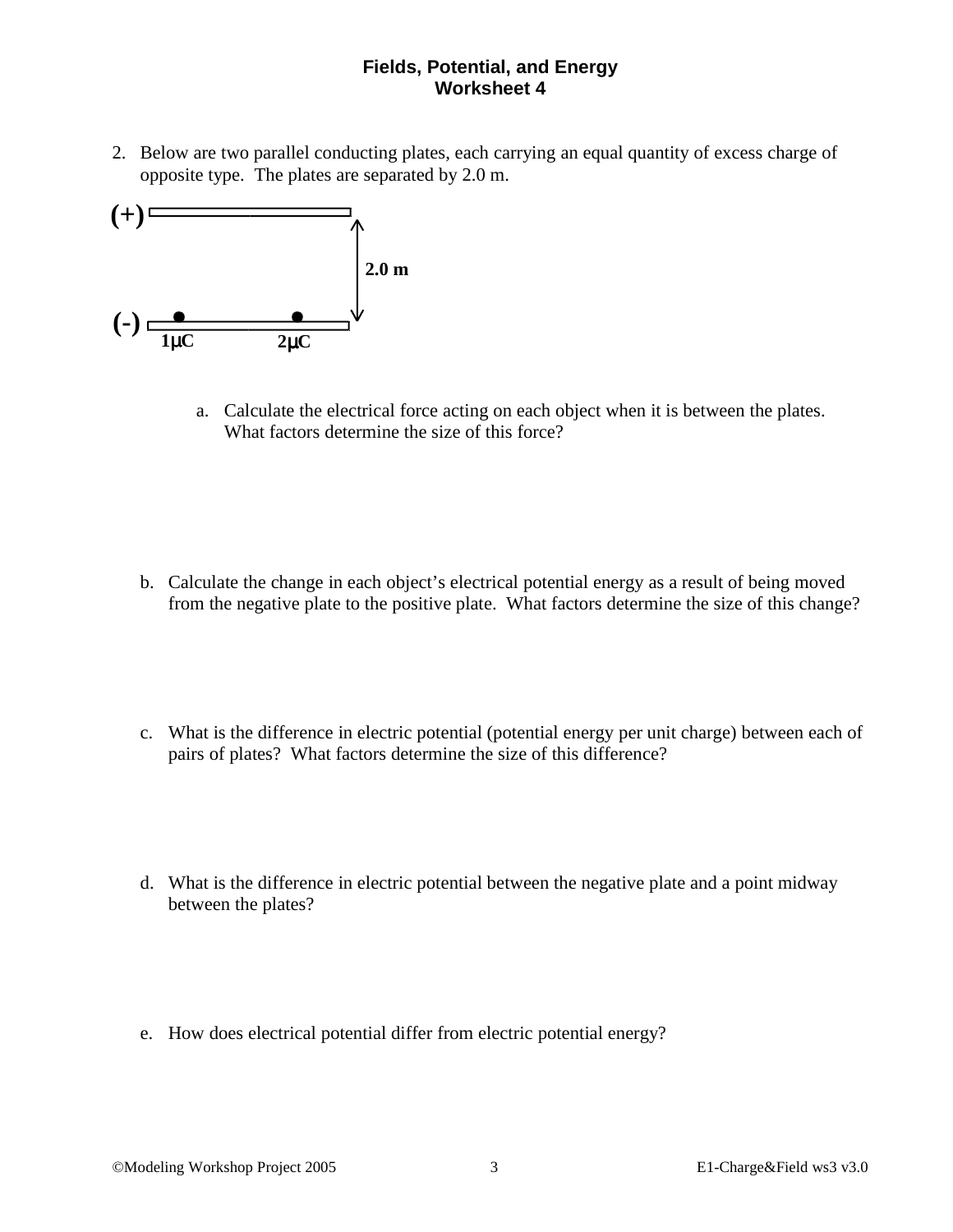## **Fields, Potential, and Energy Worksheet 4**

2. Below are two parallel conducting plates, each carrying an equal quantity of excess charge of opposite type. The plates are separated by 2.0 m.



a. Calculate the electrical force acting on each object when it is between the plates. What factors determine the size of this force?

- b. Calculate the change in each object's electrical potential energy as a result of being moved from the negative plate to the positive plate. What factors determine the size of this change?
- c. What is the difference in electric potential (potential energy per unit charge) between each of pairs of plates? What factors determine the size of this difference?
- d. What is the difference in electric potential between the negative plate and a point midway between the plates?
- e. How does electrical potential differ from electric potential energy?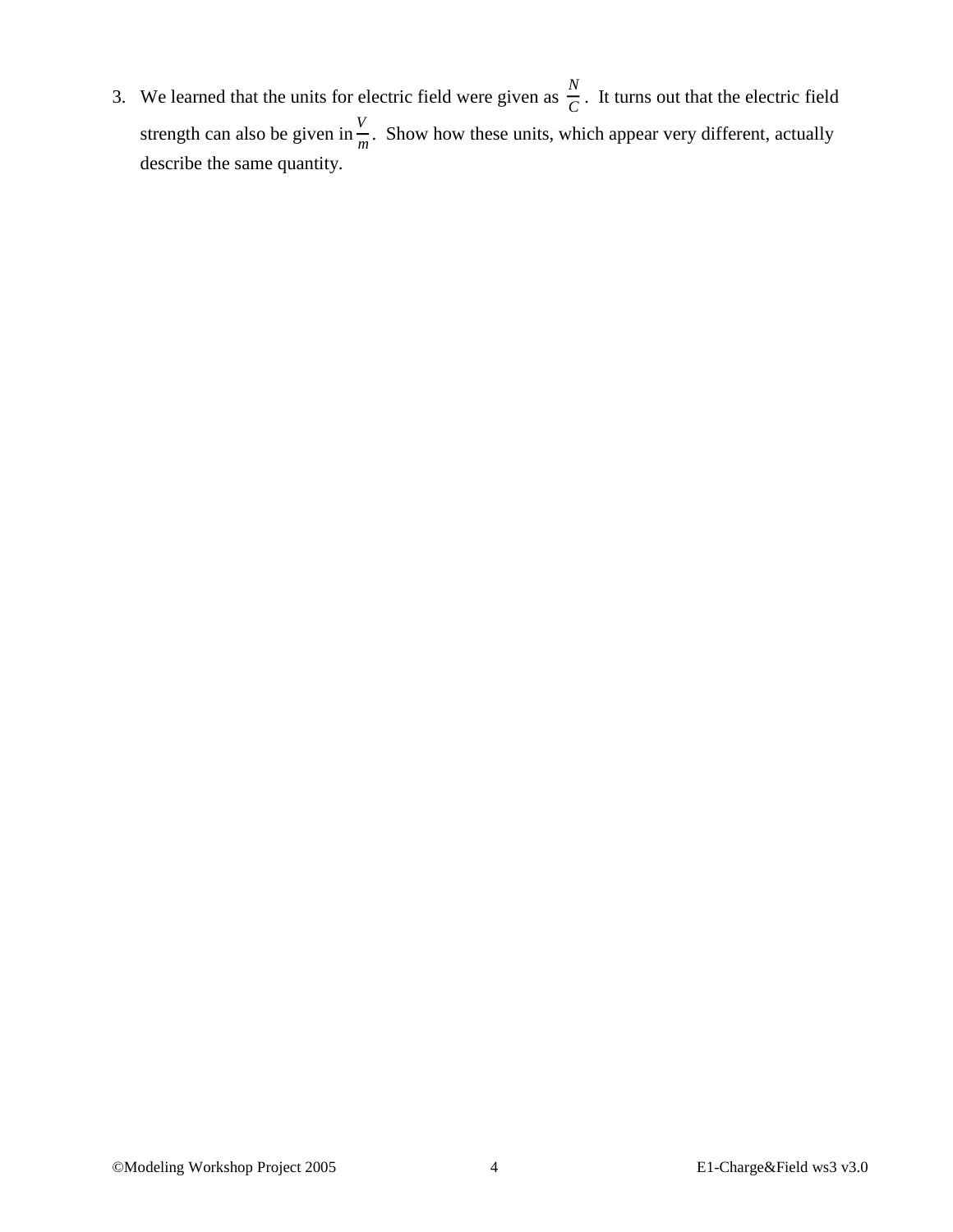3. We learned that the units for electric field were given as  $\frac{N}{C}$  $\frac{C}{C}$ . It turns out that the electric field strength can also be given in  $\frac{V}{r}$  $\frac{1}{m}$ . Show how these units, which appear very different, actually describe the same quantity.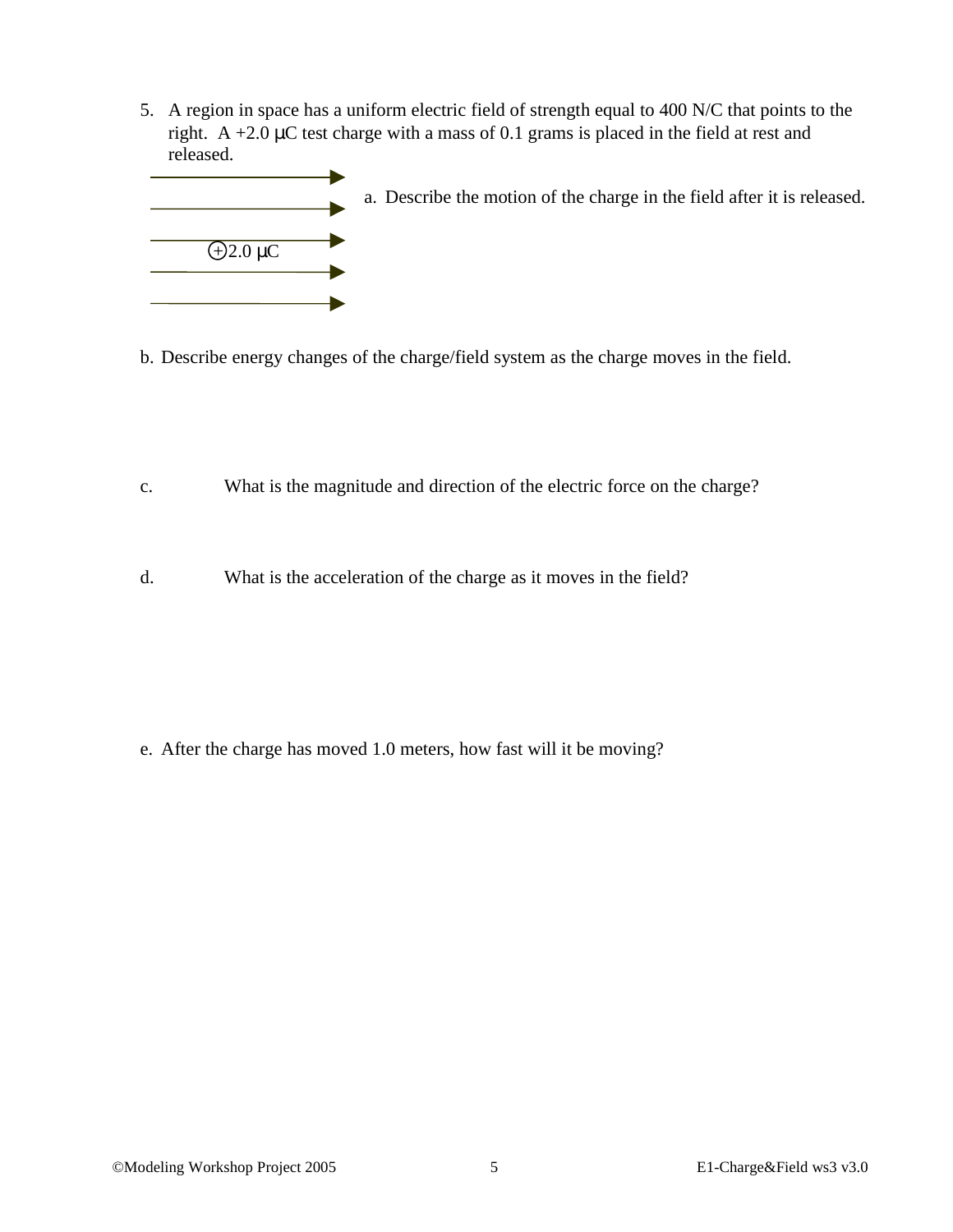5. A region in space has a uniform electric field of strength equal to 400 N/C that points to the right. A  $+2.0 \mu C$  test charge with a mass of 0.1 grams is placed in the field at rest and released.



b. Describe energy changes of the charge/field system as the charge moves in the field.

- c. What is the magnitude and direction of the electric force on the charge?
- d. What is the acceleration of the charge as it moves in the field?

e. After the charge has moved 1.0 meters, how fast will it be moving?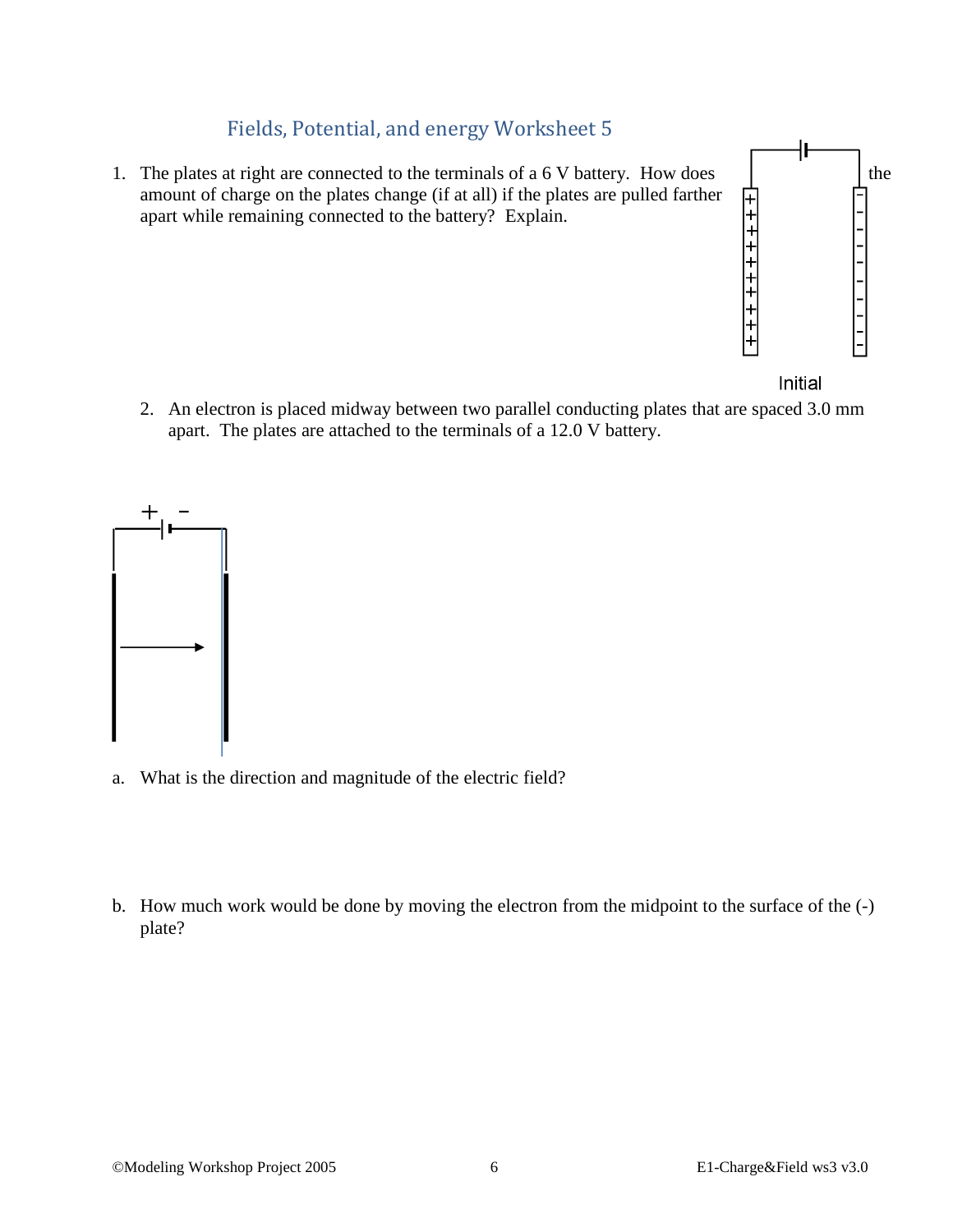## Fields, Potential, and energy Worksheet 5

1. The plates at right are connected to the terminals of a  $6 \text{ V battery}$ . How does the the amount of charge on the plates change (if at all) if the plates are pulled farther apart while remaining connected to the battery? Explain.



Initial

2. An electron is placed midway between two parallel conducting plates that are spaced 3.0 mm apart. The plates are attached to the terminals of a 12.0 V battery.



- a. What is the direction and magnitude of the electric field?
- b. How much work would be done by moving the electron from the midpoint to the surface of the (-) plate?